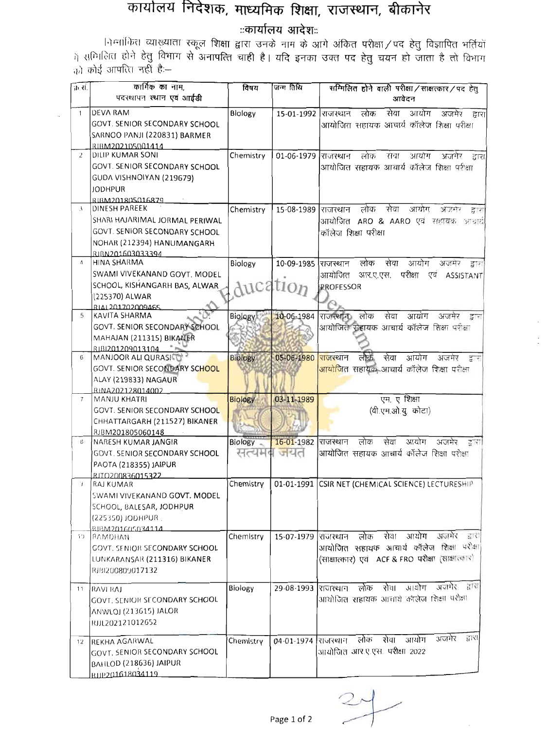## कार्यालय निदेशक, माध्यमिक शिक्षा, राजस्थान, बीकानेर<br>ज्ञार्यालय आदेश::

निम्नांकित व्याख्याता स्कूल शिक्षा द्वारा उनके नाम के आगे अंकित परीक्षा / पद हेतु विज्ञापित भर्तियों ।<br>में समिलित होने हेतु विभाग से अनापत्ति चाही है। यदि इनका उक्त पद हेतु चयन हो जाता है तो विभाग को कोई आपत्ति नहीं है:--

| क्र से.        | कार्गिक का नाम,                      | विषय           | जन्म तिथि           | सम्मिलित होने वाली परीक्षा / साक्षत्कार / पद हेतु        |
|----------------|--------------------------------------|----------------|---------------------|----------------------------------------------------------|
|                | पदरथापन स्थान एवं आईडी               |                |                     | आवेदन                                                    |
|                |                                      |                |                     |                                                          |
| $\mathbf{1}$   | <b>DEVA RAM</b>                      | Biology        | 15-01-1992          | सेवा<br>आयोग<br>लोक<br>अजमेर द्वारा<br>राजस्थान          |
|                | <b>GOVT. SENIOR SECONDARY SCHOOL</b> |                |                     | आयोजित सहायक आयार्य कॉलेज शिक्षा परीक्षा                 |
|                | SARNOO PANJI (220831) BARMER         |                |                     |                                                          |
|                | RIBM202105001414                     |                |                     |                                                          |
| $\overline{2}$ | <b>DILIP KUMAR SONI</b>              | Chemistry      | 01-06-1979          | लोक<br>राचा<br>आयोग<br>राजरथान<br>अजमेर<br>द्वारा        |
|                | GOVT. SENIOR SECONDARY SCHOOL        |                |                     | आयोजित सहायक आवार्य कॉलेज शिक्षा प्रशेक्षा               |
|                | GUDA VISHNOIYAN (219679)             |                |                     |                                                          |
|                | <b>JODHPUR</b>                       |                |                     |                                                          |
|                | RIBM201805016879                     |                |                     |                                                          |
| $\mathcal{E}$  | <b>DINESH PAREEK</b>                 | Chemistry      | 15-08-1989  राजरथान | सेवा<br>आयोग<br>लोक<br>37707<br>द्र र                    |
|                | SHARI HAJARIMAL JORMAL PERIWAL       |                |                     | आयोजित ARO & AARO एवं <i>सहायक</i><br>97.272             |
|                | <b>GOVT. SENIOR SECONDARY SCHOOL</b> |                |                     | कॉलेज शिक्षा परीक्षा                                     |
|                | NOHAR (212394) HANUMANGARH           |                |                     |                                                          |
|                | RIBN201603033394                     |                |                     |                                                          |
| $\Delta$       | HINA SHARMA                          | Biology        | 10-09-1985          | लोक<br>सेवा<br>आयोग<br>राजस्थान<br>अजमर<br>द्वारा        |
|                | SWAMI VIVEKANAND GOVT. MODEL         |                |                     | परीक्षा<br>आयोजित<br>आर.ए.एस.<br>एव<br><b>ASSISTANT</b>  |
|                | SCHOOL, KISHANGARH BAS, ALWAR        |                | Aucation            | <b>PROFESSOR</b>                                         |
|                | (225370) ALWAR                       |                |                     |                                                          |
|                | RIAL201702009465                     |                |                     |                                                          |
| 5              | <b>KAVITA SHARMA</b>                 | Biology        | 10-06-1984          | राजस्थाना लोक<br>सेवा<br>आयोग<br>अजमेर<br>इन             |
|                | GOVT. SENIOR SECONDARY SCHOOL        |                |                     | आयोजित सहायक आचार्य कॉलेज शिक्षा परीक्षा                 |
|                | MAHAJAN (211315) BIKANER             |                |                     |                                                          |
|                | RIBI201209013104                     |                |                     |                                                          |
| 6              | MANJOOR ALI QURASICO                 | <b>Biology</b> | 05-06-1980          | सेवा<br>लोक<br>आयोग<br>राजरथान<br>अजमेर<br>द्वार         |
|                | GOVT. SENIOR SECONDARY SCHOOL        |                |                     | <mark>आयोजित सहायक</mark> आचार्य कॉलेज शिक्षा परीक्षा    |
|                | ALAY (219833) NAGAUR                 |                |                     |                                                          |
|                | RINA202128014002                     |                |                     |                                                          |
| $\overline{7}$ | <b>MANJU KHATRI</b>                  | <b>Biology</b> | 03-11-1989          | एम. ए शिक्षा                                             |
|                | GOVT. SENIOR SECONDARY SCHOOL        |                |                     | (वी.एम.ओ.यू. कोटा)                                       |
|                | CHHATTARGARH (211527) BIKANER        |                |                     |                                                          |
|                | RJBM201805060148                     |                |                     |                                                          |
| 8              | NARESH KUMAR JANGIR                  | Biology        | 16-01-1982          | लोक<br>सेवा<br>आयोग<br>अजमेर<br>राजस्थान<br>दारा         |
|                | GOVT. SENIOR SECONDARY SCHOOL        | सत्यमब         | जयत                 | आयोजित सहायक आचार्य कॉलेज शिक्षा परोक्षा                 |
|                | PAOTA (218355) JAIPUR                |                |                     |                                                          |
|                | RJTQ200836015322                     |                |                     |                                                          |
| نۍ .           | RAJ KUMAR                            | Chemistry      |                     | 01-01-1991 CSIR NET (CHEMICAL SCIENCE) LECTURESHIP       |
|                | SWAMI VIVEKANAND GOVT. MODEL         |                |                     |                                                          |
|                | SCHOOL, BALESAR, JODHPUR             |                |                     |                                                          |
|                | (225350) JODHPUR.                    |                |                     |                                                          |
|                | RIBM201605034114                     |                |                     |                                                          |
| $\hat{1}$ )    | RAMDHAN                              | Chemistry      | 15-07-1979 शिजरथान  | आयोग अन्नमेर<br>सेवा<br>लोक<br>$\mathbb{Z}[\mathcal{C}]$ |
|                | <b>COVT. SENIOR SECONDARY SCHOOL</b> |                |                     | आयोजित सहायक आचार्य कॉलेज शिक्षा परोक्षा                 |
|                | LUNKARANSAR (211316) BIKANER         |                |                     | (साक्षात्कार) एवं ACF & FRO परीक्षा (साक्षात्कार)        |
|                | RJBI200809017132                     |                |                     |                                                          |
|                |                                      |                |                     | अजमेर हारा<br>आयोग<br>लोक सेवा<br>राजस्थान               |
| 11             | <b>RAVERAL</b>                       | Biology        | 29-08-1993          |                                                          |
|                | GOVT. SENIOR SECONDARY SCHOOL        |                |                     | आयोजित सहायक आचार्य कोलेज शिक्षा प्रशेक्षा               |
|                | ANWLOJ (213615) JALOR                |                |                     |                                                          |
|                | RJJL202121012652                     |                |                     |                                                          |
|                |                                      |                | 04-01-1974 राजस्थान | 깊건<br>अजमेर<br>लोक सेवा<br>आयोग                          |
| 12             | <b>REKHA AGARWAL</b>                 | Chemistry      |                     | आयोजित आर.ए.एस. परीक्षा 2022                             |
|                | GOVT. SENIOR SECONDARY SCHOOL        |                |                     |                                                          |
|                | BAHLOD (218636) JAIPUR               |                |                     |                                                          |
|                | R1IP201618034119                     |                |                     |                                                          |